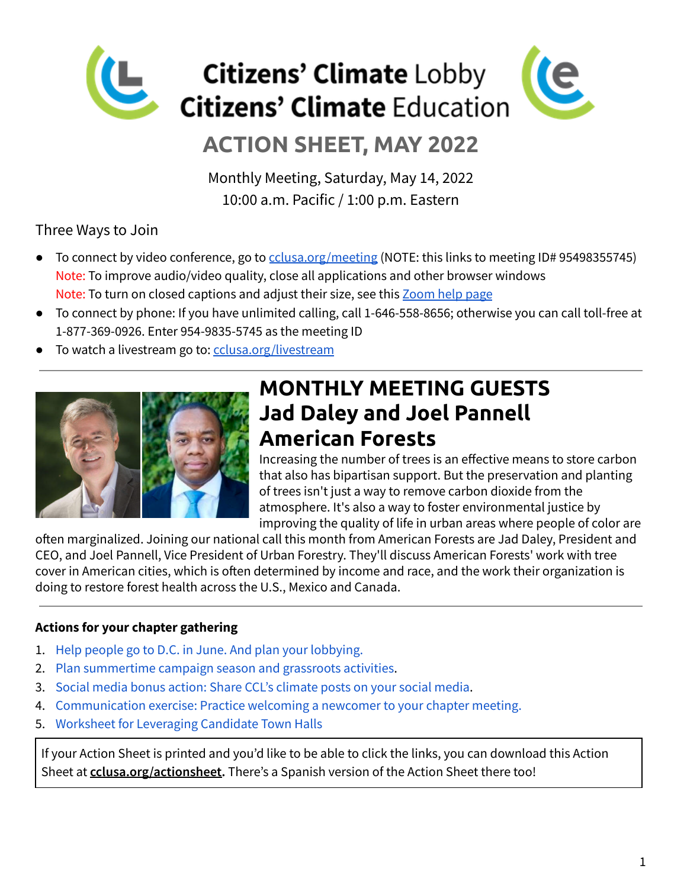

# **ACTION SHEET, MAY 2022**

Monthly Meeting, Saturday, May 14, 2022 10:00 a.m. Pacific / 1:00 p.m. Eastern

### Three Ways to Join

- To connect by video conference, go to colusa.org/meeting (NOTE: this links to meeting ID# 95498355745) Note: To improve audio/video quality, close all applications and other browser windows Note: To turn on closed captions and adjust their size, see this [Zoom](https://support.zoom.us/hc/en-us/articles/207279736-Managing-and-viewing-closed-captioning#h_01EJW2XGTA3QNDGQBV81PQ07NY) help page
- To connect by phone: If you have unlimited calling, call 1-646-558-8656; otherwise you can call toll-free at 1-877-369-0926. Enter 954-9835-5745 as the meeting ID
- To watch a livestream go to: colusa.org/livestream



# **MONTHLY MEETING GUESTS Jad Daley and Joel Pannell American Forests**

Increasing the number of trees is an effective means to store carbon that also has bipartisan support. But the preservation and planting of trees isn't just a way to remove carbon dioxide from the atmosphere. It's also a way to foster environmental justice by improving the quality of life in urban areas where people of color are

often marginalized. Joining our national call this month from American Forests are Jad Daley, President and CEO, and Joel Pannell, Vice President of Urban Forestry. They'll discuss American Forests' work with tree cover in American cities, which is often determined by income and race, and the work their organization is doing to restore forest health across the U.S., Mexico and Canada.

#### **Actions for your chapter gathering**

- 1. Help people go to D.C. in June. And plan your [lobbying.](#page-1-0)
- 2. Plan [summertime](#page-2-0) campaign season and grassroots activities.
- 3. Social media bonus action: Share CCL's [climate](#page-3-0) posts on your social media.
- 4. [Communication](#page-4-0) exercise: Practice welcoming a newcomer to your chapter meeting.
- 5. Worksheet for [Leveraging](#page-5-0) Candidate Town Halls

If your Action Sheet is printed and you'd like to be able to click the links, you can download this Action Sheet at **cclusa.org/actionsheet.** There's a Spanish version of the Action Sheet there too!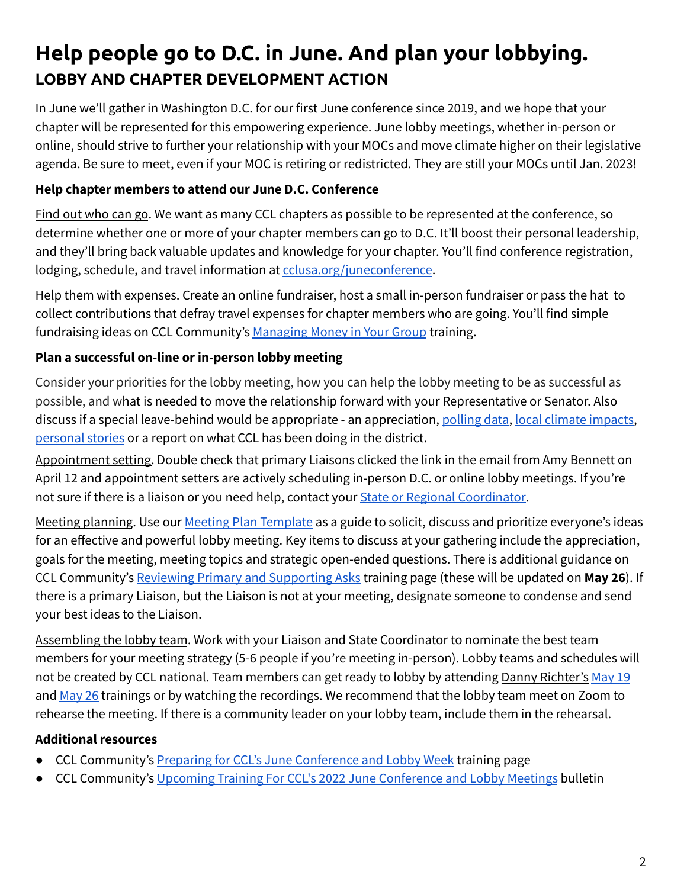# <span id="page-1-0"></span>**Help people go to D.C. in June. And plan your lobbying. LOBBY AND CHAPTER DEVELOPMENT ACTION**

In June we'll gather in Washington D.C. for our first June conference since 2019, and we hope that your chapter will be represented for this empowering experience. June lobby meetings, whether in-person or online, should strive to further your relationship with your MOCs and move climate higher on their legislative agenda. Be sure to meet, even if your MOC is retiring or redistricted. They are still your MOCs until Jan. 2023!

#### **Help chapter members to attend our June D.C. Conference**

Find out who can go. We want as many CCL chapters as possible to be represented at the conference, so determine whether one or more of your chapter members can go to D.C. It'll boost their personal leadership, and they'll bring back valuable updates and knowledge for your chapter. You'll find conference registration, lodging, schedule, and travel information at [cclusa.org/juneconference](http://cclusa.org/juneconference).

Help them with expenses. Create an online fundraiser, host a small in-person fundraiser or pass the hat to collect contributions that defray travel expenses for chapter members who are going. You'll find simple fundraising ideas on CCL Community's [Managing](https://community.citizensclimate.org/resources/item/19/139) Money in Your Group training.

### **Plan a successful on-line or in-person lobby meeting**

Consider your priorities for the lobby meeting, how you can help the lobby meeting to be as successful as possible, and what is needed to move the relationship forward with your Representative or Senator. Also discuss if a special leave-behind would be appropriate - an appreciation, [polling](https://climatecommunication.yale.edu/visualizations-data/) data, local climate [impacts,](https://community.citizensclimate.org/resources/item/19/52) [personal](https://community.citizensclimate.org/resources/item/19/65) stories or a report on what CCL has been doing in the district.

Appointment setting. Double check that primary Liaisons clicked the link in the email from Amy Bennett on April 12 and appointment setters are actively scheduling in-person D.C. or online lobby meetings. If you're not sure if there is a liaison or you need help, contact your **State or Regional Coordinator**.

Meeting planning. Use our Meeting Plan [Template](https://community.citizensclimate.org/resources/item/19/241) as a guide to solicit, discuss and prioritize everyone's ideas for an effective and powerful lobby meeting. Key items to discuss at your gathering include the appreciation, goals for the meeting, meeting topics and strategic open-ended questions. There is additional guidance on CCL Community's Reviewing Primary and [Supporting](https://community.citizensclimate.org/resources/item/19/185) Asks training page (these will be updated on **May 26**). If there is a primary Liaison, but the Liaison is not at your meeting, designate someone to condense and send your best ideas to the Liaison.

Assembling the lobby team. Work with your Liaison and State Coordinator to nominate the best team members for your meeting strategy (5-6 people if you're meeting in-person). Lobby teams and schedules will not be created by CCL national. Team members can get ready to lobby by attending Danny Richter's [May](http://community.citizensclimate.org/events/item/24/9504) 19 and [May](http://community.citizensclimate.org/events/item/24/9505) 26 trainings or by watching the recordings. We recommend that the lobby team meet on Zoom to rehearse the meeting. If there is a community leader on your lobby team, include them in the rehearsal.

#### **Additional resources**

- CCL Community's Preparing for CCL's June [Conference](https://community.citizensclimate.org/resources/item/19/272) and Lobby Week training page
- CCL Community's Upcoming Training For CCL's 2022 June [Conference](https://community.citizensclimate.org/bulletin/2101/303) and Lobby Meetings bulletin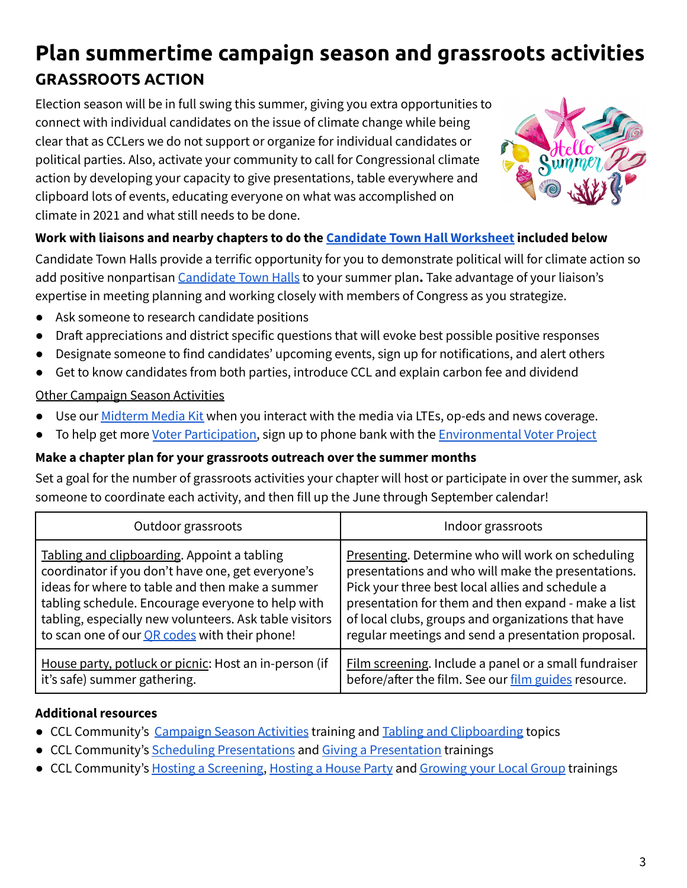# <span id="page-2-0"></span>**Plan summertime campaign season and grassroots activities GRASSROOTS ACTION**

Election season will be in full swing this summer, giving you extra opportunities to connect with individual candidates on the issue of climate change while being clear that as CCLers we do not support or organize for individual candidates or political parties. Also, activate your community to call for Congressional climate action by developing your capacity to give presentations, table everywhere and clipboard lots of events, educating everyone on what was accomplished on climate in 2021 and what still needs to be done.



### **Work with liaisons and nearby chapters to do the Candidate Town Hall [Worksheet](https://docs.google.com/document/d/1fKi1YjJXIEs5pZBjUu3OxHlRaGxN_IAPZTpy_rWhvlQ/) included below**

Candidate Town Halls provide a terrific opportunity for you to demonstrate political will for climate action so add positive nonpartisan [Candidate](https://community.citizensclimate.org/resources/item/19/264) Town Halls to your summer plan**.** Take advantage of your liaison's expertise in meeting planning and working closely with members of Congress as you strategize.

- Ask someone to research candidate positions
- Draft appreciations and district specific questions that will evoke best possible positive responses
- Designate someone to find candidates' upcoming events, sign up for notifications, and alert others
- Get to know candidates from both parties, introduce CCL and explain carbon fee and dividend

#### Other Campaign Season Activities

- Use our [Midterm](https://community.citizensclimate.org/resources/item/19/501) Media Kit when you interact with the media via LTEs, op-eds and news coverage.
- To help get more Voter [Participation,](https://community.citizensclimate.org/resources/item/19/464) sign up to phone bank with the [Environmental](https://www.environmentalvoter.org/get-involved) Voter Project

### **Make a chapter plan for your grassroots outreach over the summer months**

Set a goal for the number of grassroots activities your chapter will host or participate in over the summer, ask someone to coordinate each activity, and then fill up the June through September calendar!

| Outdoor grassroots                                     | Indoor grassroots                                     |  |  |
|--------------------------------------------------------|-------------------------------------------------------|--|--|
| Tabling and clipboarding. Appoint a tabling            | Presenting. Determine who will work on scheduling     |  |  |
| coordinator if you don't have one, get everyone's      | presentations and who will make the presentations.    |  |  |
| ideas for where to table and then make a summer        | Pick your three best local allies and schedule a      |  |  |
| tabling schedule. Encourage everyone to help with      | presentation for them and then expand - make a list   |  |  |
| tabling, especially new volunteers. Ask table visitors | of local clubs, groups and organizations that have    |  |  |
| to scan one of our <b>OR</b> codes with their phone!   | regular meetings and send a presentation proposal.    |  |  |
| House party, potluck or picnic: Host an in-person (if  | Film screening. Include a panel or a small fundraiser |  |  |
| it's safe) summer gathering.                           | before/after the film. See our film guides resource.  |  |  |

### **Additional resources**

- CCL Community's [Campaign](https://community.citizensclimate.org/resources/item/19/265) Season Activities training and Tabling and [Clipboarding](https://community.citizensclimate.org/topics/tabling-clipboarding) topics
- CCL Community's Scheduling [Presentations](https://community.citizensclimate.org/resources/item/19/160) and Giving a [Presentation](https://community.citizensclimate.org/resources/item/19/159) trainings
- CCL Community's Hosting a [Screening,](https://community.citizensclimate.org/resources/item/19/277) [Hosting](https://community.citizensclimate.org/resources/item/19/435) a House Party and [Growing](https://community.citizensclimate.org/resources/item/19/146) your Local Group trainings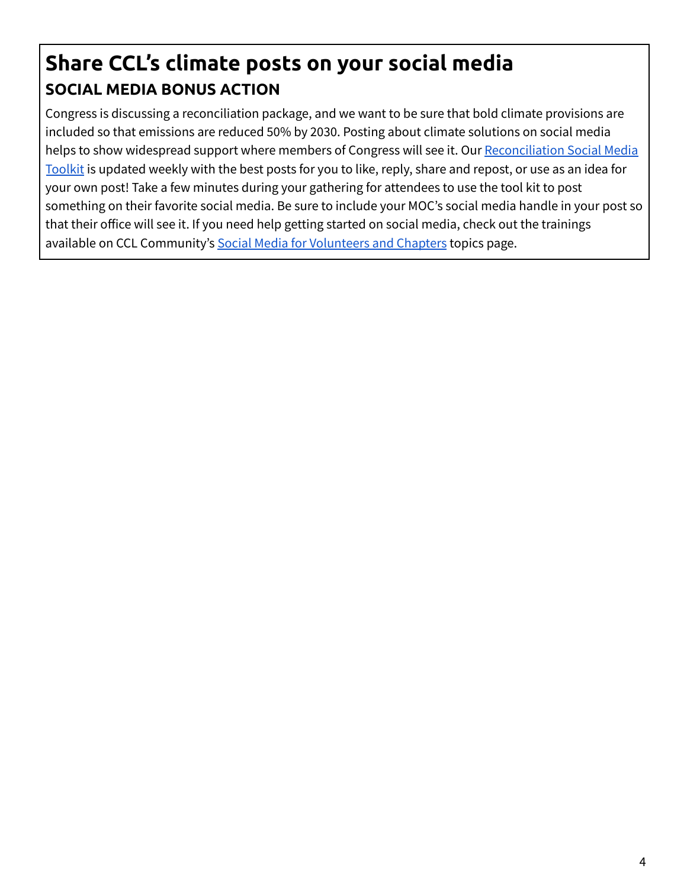# <span id="page-3-0"></span>**Share CCL's climate posts on your social media SOCIAL MEDIA BONUS ACTION**

Congress is discussing a reconciliation package, and we want to be sure that bold climate provisions are included so that emissions are reduced 50% by 2030. Posting about climate solutions on social media helps to show widespread support where members of Congress will see it. Our [Reconciliation](https://community.citizensclimate.org/resources/item/19/489) Social Media [Toolkit](https://community.citizensclimate.org/resources/item/19/489) is updated weekly with the best posts for you to like, reply, share and repost, or use as an idea for your own post! Take a few minutes during your gathering for attendees to use the tool kit to post something on their favorite social media. Be sure to include your MOC's social media handle in your post so that their office will see it. If you need help getting started on social media, check out the trainings available on CCL Community's Social Media for [Volunteers](https://community.citizensclimate.org/topics/using-social-media) and Chapters topics page.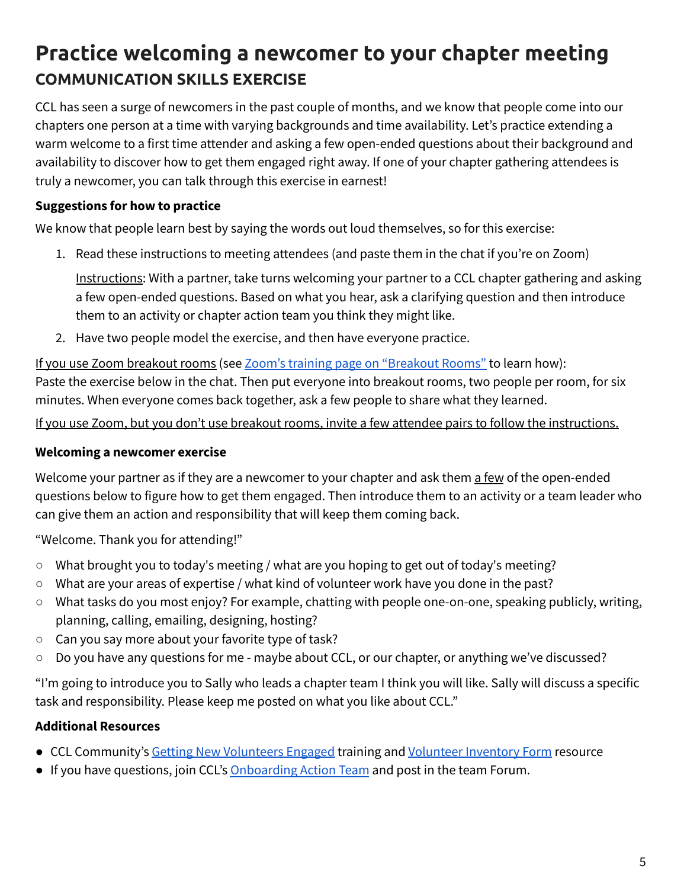# <span id="page-4-0"></span>**Practice welcoming a newcomer to your chapter meeting COMMUNICATION SKILLS EXERCISE**

CCL has seen a surge of newcomers in the past couple of months, and we know that people come into our chapters one person at a time with varying backgrounds and time availability. Let's practice extending a warm welcome to a first time attender and asking a few open-ended questions about their background and availability to discover how to get them engaged right away. If one of your chapter gathering attendees is truly a newcomer, you can talk through this exercise in earnest!

### **Suggestions for how to practice**

We know that people learn best by saying the words out loud themselves, so for this exercise:

1. Read these instructions to meeting attendees (and paste them in the chat if you're on Zoom)

Instructions: With a partner, take turns welcoming your partner to a CCL chapter gathering and asking a few open-ended questions. Based on what you hear, ask a clarifying question and then introduce them to an activity or chapter action team you think they might like.

2. Have two people model the exercise, and then have everyone practice.

If you use Zoom breakout rooms (see Zoom's training page on ["Breakout](https://support.zoom.us/hc/en-us/articles/206476093-Getting-Started-with-Breakout-Rooms) Rooms" to learn how): Paste the exercise below in the chat. Then put everyone into breakout rooms, two people per room, for six minutes. When everyone comes back together, ask a few people to share what they learned.

If you use Zoom, but you don't use breakout rooms, invite a few attendee pairs to follow the instructions.

#### **Welcoming a newcomer exercise**

Welcome your partner as if they are a newcomer to your chapter and ask them a few of the open-ended questions below to figure how to get them engaged. Then introduce them to an activity or a team leader who can give them an action and responsibility that will keep them coming back.

"Welcome. Thank you for attending!"

- What brought you to today's meeting / what are you hoping to get out of today's meeting?
- What are your areas of expertise / what kind of volunteer work have you done in the past?
- What tasks do you most enjoy? For example, chatting with people one-on-one, speaking publicly, writing, planning, calling, emailing, designing, hosting?
- Can you say more about your favorite type of task?
- Do you have any questions for me maybe about CCL, or our chapter, or anything we've discussed?

"I'm going to introduce you to Sally who leads a chapter team I think you will like. Sally will discuss a specific task and responsibility. Please keep me posted on what you like about CCL."

### **Additional Resources**

- CCL Community's Getting New [Volunteers](https://community.citizensclimate.org/resources/item/19/298) Engaged training and [Volunteer](https://community.citizensclimate.org/resources/item/19/434) Inventory Form resource
- If you have questions, join CCL's [Onboarding](https://community.citizensclimate.org/groups/home/2754) Action Team and post in the team Forum.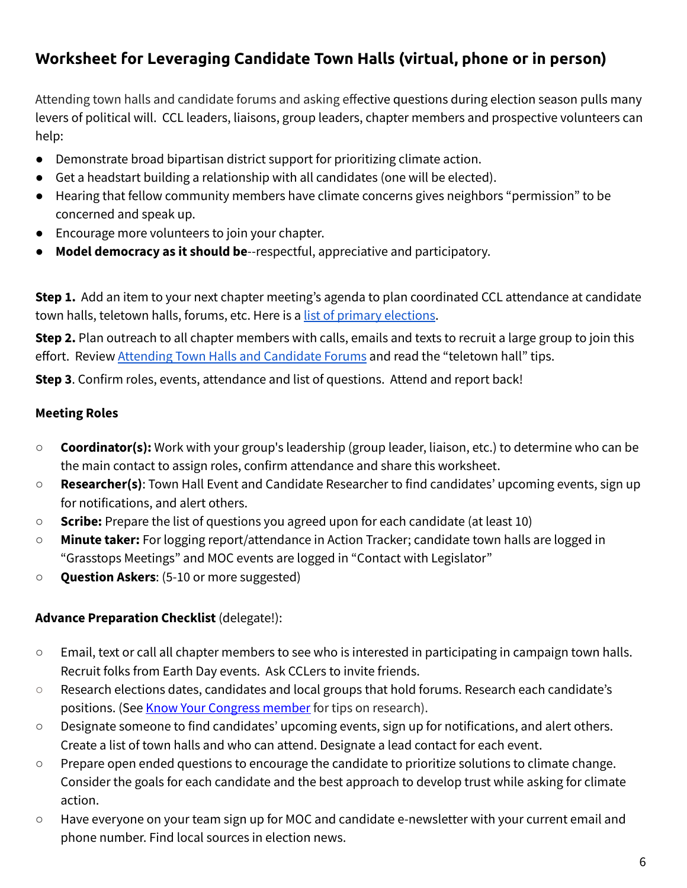## <span id="page-5-0"></span>**Worksheet for Leveraging Candidate Town Halls (virtual, phone or in person)**

Attending town halls and candidate forums and asking effective questions during election season pulls many levers of political will. CCL leaders, liaisons, group leaders, chapter members and prospective volunteers can help:

- Demonstrate broad bipartisan district support for prioritizing climate action.
- Get a headstart building a relationship with all candidates (one will be elected).
- Hearing that fellow community members have climate concerns gives neighbors "permission" to be concerned and speak up.
- Encourage more volunteers to join your chapter.
- **Model democracy as it should be**--respectful, appreciative and participatory.

**Step 1.** Add an item to your next chapter meeting's agenda to plan coordinated CCL attendance at candidate town halls, teletown halls, forums, etc. Here is a list of primary [elections](https://www.ncsl.org/research/elections-and-campaigns/2022-state-primary-election-dates-and-filing-deadlines.aspx).

**Step 2.** Plan outreach to all chapter members with calls, emails and texts to recruit a large group to join this effort. Review Attending Town Halls and [Candidate](https://community.citizensclimate.org/resources/item/19/264) Forums and read the "teletown hall" tips.

**Step 3**. Confirm roles, events, attendance and list of questions. Attend and report back!

#### **Meeting Roles**

- **Coordinator(s):** Work with your group's leadership (group leader, liaison, etc.) to determine who can be the main contact to assign roles, confirm attendance and share this worksheet.
- **Researcher(s)**: Town Hall Event and Candidate Researcher to find candidates' upcoming events, sign up for notifications, and alert others.
- **Scribe:** Prepare the list of questions you agreed upon for each candidate (at least 10)
- **Minute taker:** For logging report/attendance in Action Tracker; candidate town halls are logged in "Grasstops Meetings" and MOC events are logged in "Contact with Legislator"
- **Question Askers**: (5-10 or more suggested)

#### **Advance Preparation Checklist** (delegate!):

- Email, text or call all chapter members to see who is interested in participating in campaign town halls. Recruit folks from Earth Day events. Ask CCLers to invite friends.
- Research elections dates, candidates and local groups that hold forums. Research each candidate's positions. (See Know Your [Congress](https://www.youtube.com/watch?v=O_CRRN45hhQ&feature=youtu.be) member for tips on research).
- Designate someone to find candidates' upcoming events, sign up for notifications, and alert others. Create a list of town halls and who can attend. Designate a lead contact for each event.
- Prepar[e](https://docs.google.com/document/d/1jugpN9NxedGzDIFN5dMI-JOYvDnS2PkaFgzCD9GSHQg/edit) open ended questions to encourage the candidate to prioritize solutions to climate change. Consider the goals for each candidate and the best approach to develop trust while asking for climate action.
- Have everyone on your team sign up for MOC and candidate e-newsletter with your current email and phone number. Find local sources in election news.